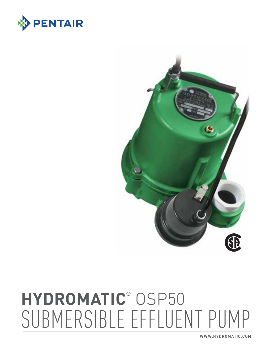**www.hydromatic.com**

# **hydromatic®** OSP50 Submersible Effluent Pump



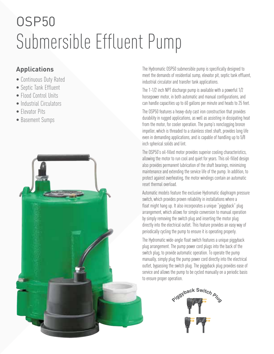# OSP50 Submersible Effluent Pump

### **Applications**

- Continuous Duty Rated
- Septic Tank Effluent
- Flood Control Units
- Industrial Circulators
- Elevator Pits
- Basement Sumps



The Hydromatic OSP50 submersible pump is specifically designed to meet the demands of residential sump, elevator pit, septic tank effluent, industrial circulator and transfer tank applications.

The 1-1/2 inch NPT discharge pump is available with a powerful 1/2 horsepower motor, in both automatic and manual configurations, and can handle capacities up to 60 gallons per minute and heads to 25 feet.

The OSP50 features a heavy-duty cast iron construction that provides durability in rugged applications, as well as assisting in dissipating heat from the motor, for cooler operation. The pump's nonclogging bronze impeller, which is threaded to a stainless steel shaft, provides long life even in demanding applications, and is capable of handling up to 5/8 inch spherical solids and lint.

The OSP50's oil-filled motor provides superior cooling characteristics, allowing the motor to run cool and quiet for years. This oil-filled design also provides permanent lubrication of the shaft bearings, minimizing maintenance and extending the service life of the pump. In addition, to protect against overheating, the motor windings contain an automatic reset thermal overload.

Automatic models feature the exclusive Hydromatic diaphragm pressure switch, which provides proven reliability in installations where a float might hang up. It also incorporates a unique "piggyback" plug arrangement, which allows for simple conversion to manual operation by simply removing the switch plug and inserting the motor plug directly into the electrical outlet. This feature provides an easy way of periodically cycling the pump to ensure it is operating properly.

The Hydromatic wide-angle float switch features a unique piggyback plug arrangement. The pump power cord plugs into the back of the switch plug, to provide automatic operation. To operate the pump manually, simply plug the pump power cord directly into the electrical outlet, bypassing the switch plug. The piggyback plug provides ease of service and allows the pump to be cycled manually on a periodic basis to ensure proper operation.

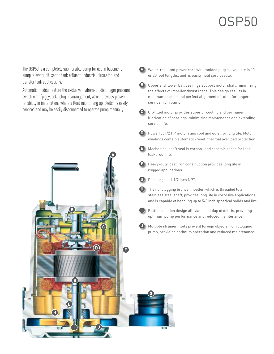## OSP50

The OSP50 is a completely submersible pump for use in basement sump, elevator pit, septic tank effluent, industrial circulator, and transfer tank applications.

Automatic models feature the exclusive Hydromatic diaphragm pressure switch with "piggyback" plug-in arrangement, which provides proven reliability in installations where a float might hang up. Switch is easily serviced and may be easily disconnected to operate pump manually.



**A** Water-resistant power cord with molded plug is available in 10 or 20 foot lengths, and is easily field serviceable.

- **B** Upper and lower ball bearings support motor shaft, minimizing the effects of impeller thrust loads. This design results in minimum friction and perfect alignment of rotor, for longer service from pump.
- **C** Oil-filled motor provides superior cooling and permanent lubrication of bearings, minimizing maintenance and extending service life.
- **D** Powerful 1/2 HP motor runs cool and quiet for long life. Motor windings contain automatic-reset, thermal overload protection.
- **E** Mechanical shaft seal is carbon- and ceramic-faced for long, leakproof life.
- **F** Heavy-duty, cast iron construction provides long life in rugged applications.
- **G** Discharge is 1-1/2 inch NPT.
- **H** The nonclogging bronze impeller, which is threaded to a stainless steel shaft, provides long life in corrosive applications, and is capable of handling up to 5/8 inch spherical solids and lint.
- **I** Bottom-suction design alleviates buildup of debris, providing optimum pump performance and reduced maintenance.
- **J** Multiple strainer inlets prevent foreign objects from clogging pump, providing optimum operation and reduced maintenance.